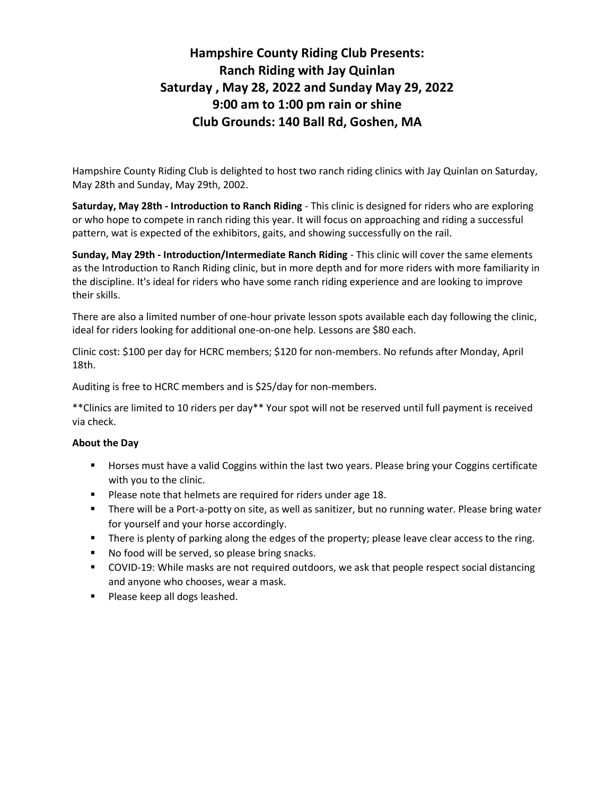# Hampshire County Riding Club Presents: Ranch Riding with Jay Quinlan Saturday , May 28, 2022 and Sunday May 29, 2022 9:00 am to 1:00 pm rain or shine Club Grounds: 140 Ball Rd, Goshen, MA

Hampshire County Riding Club is delighted to host two ranch riding clinics with Jay Quinlan on Saturday, May 28th and Sunday, May 29th, 2002.

Saturday, May 28th - Introduction to Ranch Riding - This clinic is designed for riders who are exploring or who hope to compete in ranch riding this year. It will focus on approaching and riding a successful pattern, wat is expected of the exhibitors, gaits, and showing successfully on the rail.

Sunday, May 29th - Introduction/Intermediate Ranch Riding - This clinic will cover the same elements as the Introduction to Ranch Riding clinic, but in more depth and for more riders with more familiarity in the discipline. It's ideal for riders who have some ranch riding experience and are looking to improve their skills.

There are also a limited number of one-hour private lesson spots available each day following the clinic, ideal for riders looking for additional one-on-one help. Lessons are \$80 each.

Clinic cost: \$100 per day for HCRC members; \$120 for non-members. No refunds after Monday, April 18th.

Auditing is free to HCRC members and is \$25/day for non-members.

\*\*Clinics are limited to 10 riders per day\*\* Your spot will not be reserved until full payment is received via check.

#### About the Day

- Horses must have a valid Coggins within the last two years. Please bring your Coggins certificate with you to the clinic.
- **Please note that helmets are required for riders under age 18.**
- There will be a Port-a-potty on site, as well as sanitizer, but no running water. Please bring water for yourself and your horse accordingly.
- **There is plenty of parking along the edges of the property; please leave clear access to the ring.**
- No food will be served, so please bring snacks.
- COVID-19: While masks are not required outdoors, we ask that people respect social distancing and anyone who chooses, wear a mask.
- **Please keep all dogs leashed.**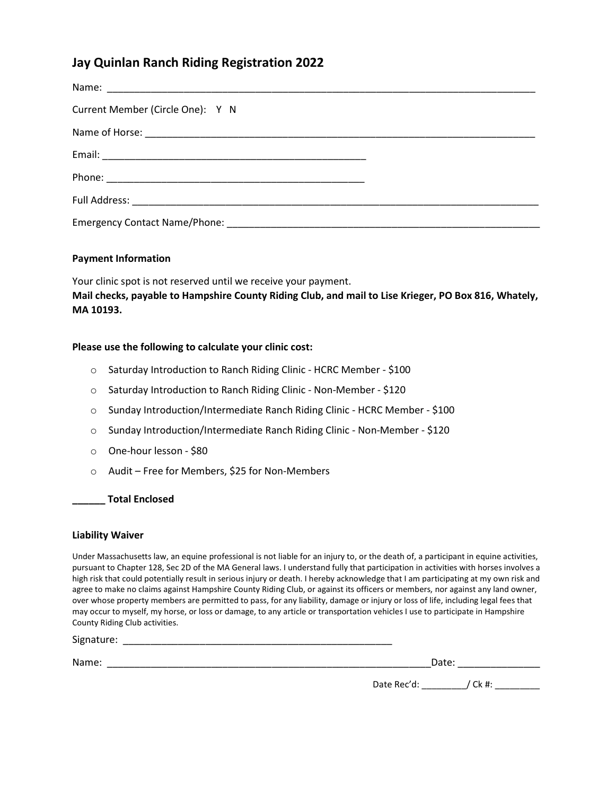## Jay Quinlan Ranch Riding Registration 2022

| Current Member (Circle One): Y N |  |
|----------------------------------|--|
|                                  |  |
|                                  |  |
|                                  |  |
|                                  |  |
|                                  |  |

#### Payment Information

Your clinic spot is not reserved until we receive your payment. Mail checks, payable to Hampshire County Riding Club, and mail to Lise Krieger, PO Box 816, Whately, MA 10193.

#### Please use the following to calculate your clinic cost:

- o Saturday Introduction to Ranch Riding Clinic HCRC Member \$100
- o Saturday Introduction to Ranch Riding Clinic Non-Member \$120
- o Sunday Introduction/Intermediate Ranch Riding Clinic HCRC Member \$100
- o Sunday Introduction/Intermediate Ranch Riding Clinic Non-Member \$120
- o One-hour lesson \$80
- o Audit Free for Members, \$25 for Non-Members

#### \_\_\_\_\_\_ Total Enclosed

#### Liability Waiver

Under Massachusetts law, an equine professional is not liable for an injury to, or the death of, a participant in equine activities, pursuant to Chapter 128, Sec 2D of the MA General laws. I understand fully that participation in activities with horses involves a high risk that could potentially result in serious injury or death. I hereby acknowledge that I am participating at my own risk and agree to make no claims against Hampshire County Riding Club, or against its officers or members, nor against any land owner, over whose property members are permitted to pass, for any liability, damage or injury or loss of life, including legal fees that may occur to myself, my horse, or loss or damage, to any article or transportation vehicles I use to participate in Hampshire County Riding Club activities.

Signature: \_\_\_\_\_\_\_\_\_\_\_\_\_\_\_\_\_\_\_\_\_\_\_\_\_\_\_\_\_\_\_\_\_\_\_\_\_\_\_\_\_\_\_\_\_\_\_\_\_

Name: <u>Dates and the set of the set of the set of the set of the set of the set of the set of the set of the set of the set of the set of the set of the set of the set of the set of the set of the set of the set of the set</u>

| 3 T           |  |
|---------------|--|
| M.<br>۰.<br>× |  |

Date Rec'd: \_\_\_\_\_\_\_\_\_/ Ck #: \_\_\_\_\_\_\_\_\_